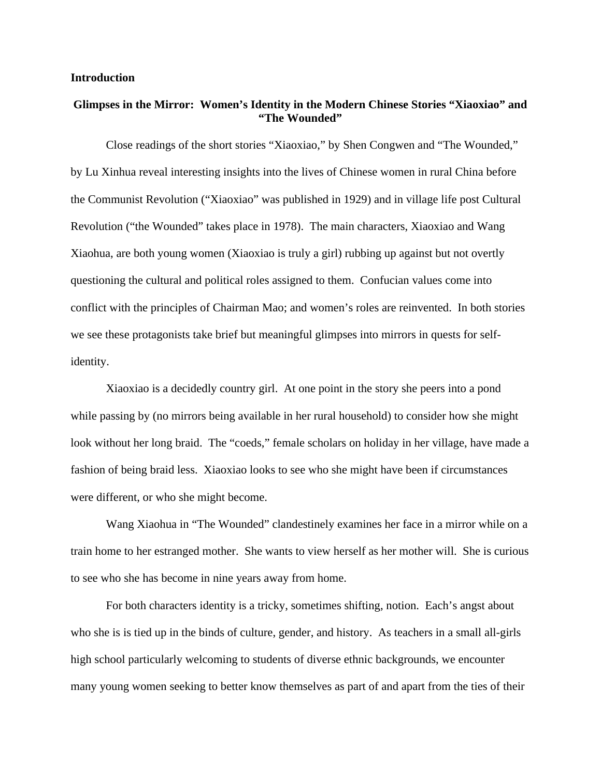# **Introduction**

# **Glimpses in the Mirror: Women's Identity in the Modern Chinese Stories "Xiaoxiao" and "The Wounded"**

Close readings of the short stories "Xiaoxiao," by Shen Congwen and "The Wounded," by Lu Xinhua reveal interesting insights into the lives of Chinese women in rural China before the Communist Revolution ("Xiaoxiao" was published in 1929) and in village life post Cultural Revolution ("the Wounded" takes place in 1978). The main characters, Xiaoxiao and Wang Xiaohua, are both young women (Xiaoxiao is truly a girl) rubbing up against but not overtly questioning the cultural and political roles assigned to them. Confucian values come into conflict with the principles of Chairman Mao; and women's roles are reinvented. In both stories we see these protagonists take brief but meaningful glimpses into mirrors in quests for selfidentity.

Xiaoxiao is a decidedly country girl. At one point in the story she peers into a pond while passing by (no mirrors being available in her rural household) to consider how she might look without her long braid. The "coeds," female scholars on holiday in her village, have made a fashion of being braid less. Xiaoxiao looks to see who she might have been if circumstances were different, or who she might become.

Wang Xiaohua in "The Wounded" clandestinely examines her face in a mirror while on a train home to her estranged mother. She wants to view herself as her mother will. She is curious to see who she has become in nine years away from home.

For both characters identity is a tricky, sometimes shifting, notion. Each's angst about who she is is tied up in the binds of culture, gender, and history. As teachers in a small all-girls high school particularly welcoming to students of diverse ethnic backgrounds, we encounter many young women seeking to better know themselves as part of and apart from the ties of their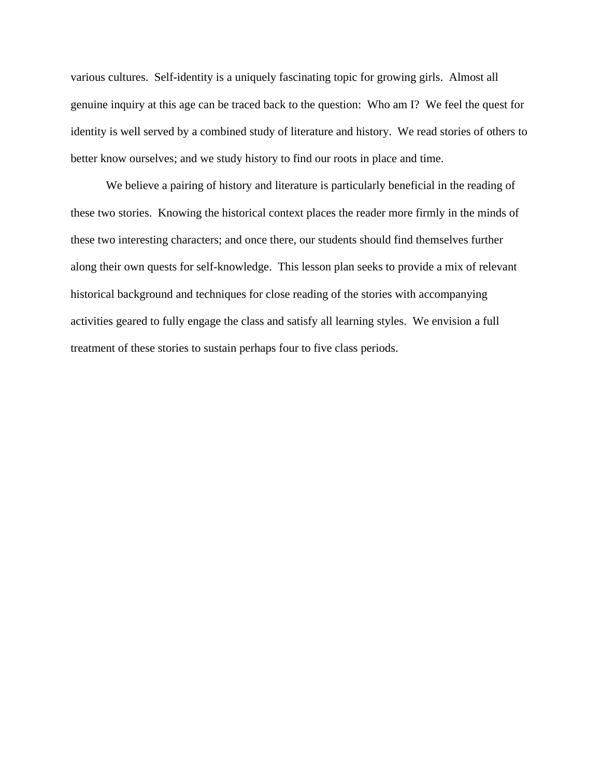various cultures. Self-identity is a uniquely fascinating topic for growing girls. Almost all genuine inquiry at this age can be traced back to the question: Who am I? We feel the quest for identity is well served by a combined study of literature and history. We read stories of others to better know ourselves; and we study history to find our roots in place and time.

We believe a pairing of history and literature is particularly beneficial in the reading of these two stories. Knowing the historical context places the reader more firmly in the minds of these two interesting characters; and once there, our students should find themselves further along their own quests for self-knowledge. This lesson plan seeks to provide a mix of relevant historical background and techniques for close reading of the stories with accompanying activities geared to fully engage the class and satisfy all learning styles. We envision a full treatment of these stories to sustain perhaps four to five class periods.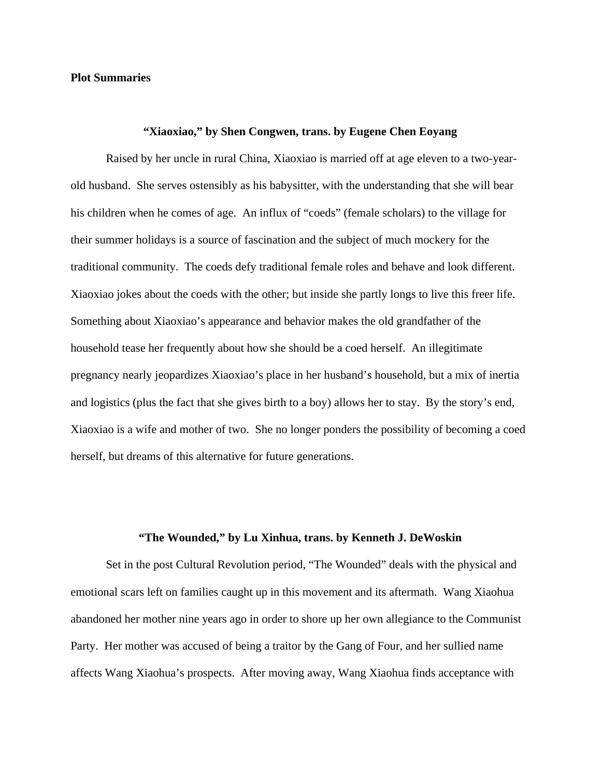## **Plot Summaries**

# **"Xiaoxiao," by Shen Congwen, trans. by Eugene Chen Eoyang**

Raised by her uncle in rural China, Xiaoxiao is married off at age eleven to a two-yearold husband. She serves ostensibly as his babysitter, with the understanding that she will bear his children when he comes of age. An influx of "coeds" (female scholars) to the village for their summer holidays is a source of fascination and the subject of much mockery for the traditional community. The coeds defy traditional female roles and behave and look different. Xiaoxiao jokes about the coeds with the other; but inside she partly longs to live this freer life. Something about Xiaoxiao's appearance and behavior makes the old grandfather of the household tease her frequently about how she should be a coed herself. An illegitimate pregnancy nearly jeopardizes Xiaoxiao's place in her husband's household, but a mix of inertia and logistics (plus the fact that she gives birth to a boy) allows her to stay. By the story's end, Xiaoxiao is a wife and mother of two. She no longer ponders the possibility of becoming a coed herself, but dreams of this alternative for future generations.

# **"The Wounded," by Lu Xinhua, trans. by Kenneth J. DeWoskin**

Set in the post Cultural Revolution period, "The Wounded" deals with the physical and emotional scars left on families caught up in this movement and its aftermath. Wang Xiaohua abandoned her mother nine years ago in order to shore up her own allegiance to the Communist Party. Her mother was accused of being a traitor by the Gang of Four, and her sullied name affects Wang Xiaohua's prospects. After moving away, Wang Xiaohua finds acceptance with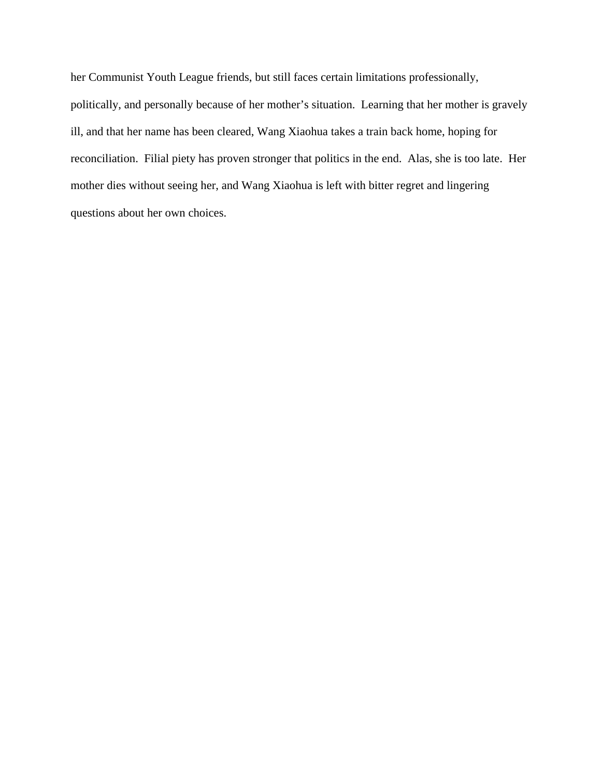her Communist Youth League friends, but still faces certain limitations professionally, politically, and personally because of her mother's situation. Learning that her mother is gravely ill, and that her name has been cleared, Wang Xiaohua takes a train back home, hoping for reconciliation. Filial piety has proven stronger that politics in the end. Alas, she is too late. Her mother dies without seeing her, and Wang Xiaohua is left with bitter regret and lingering questions about her own choices.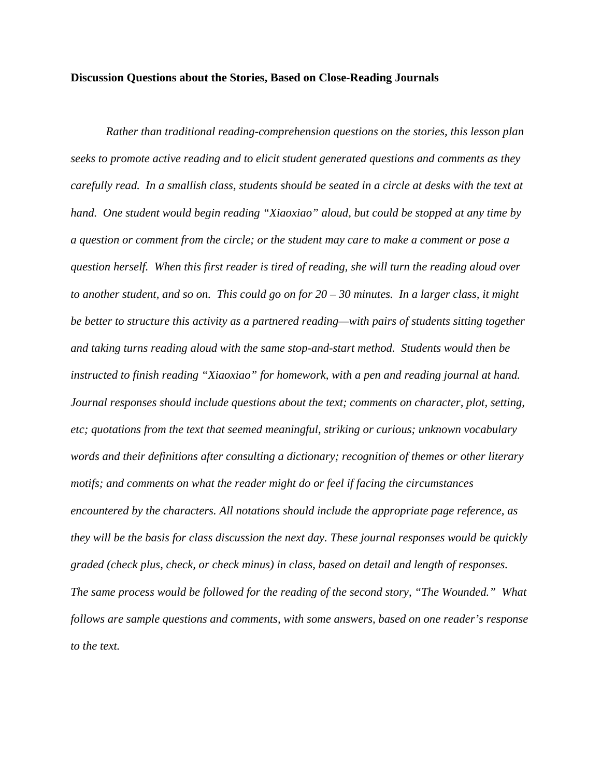#### **Discussion Questions about the Stories, Based on Close-Reading Journals**

*Rather than traditional reading-comprehension questions on the stories, this lesson plan seeks to promote active reading and to elicit student generated questions and comments as they carefully read. In a smallish class, students should be seated in a circle at desks with the text at hand. One student would begin reading "Xiaoxiao" aloud, but could be stopped at any time by a question or comment from the circle; or the student may care to make a comment or pose a question herself. When this first reader is tired of reading, she will turn the reading aloud over to another student, and so on. This could go on for 20 – 30 minutes. In a larger class, it might be better to structure this activity as a partnered reading—with pairs of students sitting together and taking turns reading aloud with the same stop-and-start method. Students would then be instructed to finish reading "Xiaoxiao" for homework, with a pen and reading journal at hand. Journal responses should include questions about the text; comments on character, plot, setting, etc; quotations from the text that seemed meaningful, striking or curious; unknown vocabulary words and their definitions after consulting a dictionary; recognition of themes or other literary motifs; and comments on what the reader might do or feel if facing the circumstances encountered by the characters. All notations should include the appropriate page reference, as they will be the basis for class discussion the next day. These journal responses would be quickly graded (check plus, check, or check minus) in class, based on detail and length of responses. The same process would be followed for the reading of the second story, "The Wounded." What follows are sample questions and comments, with some answers, based on one reader's response to the text.*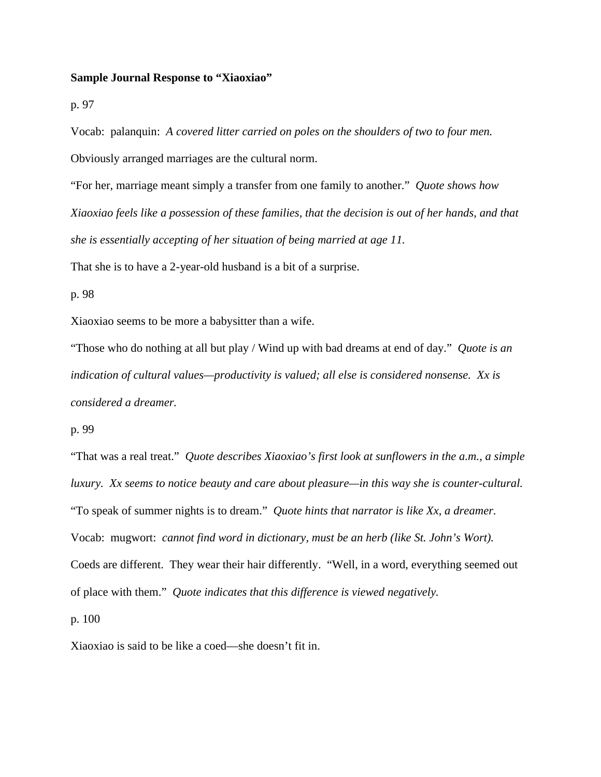## **Sample Journal Response to "Xiaoxiao"**

p. 97

Vocab: palanquin: *A covered litter carried on poles on the shoulders of two to four men.* Obviously arranged marriages are the cultural norm.

"For her, marriage meant simply a transfer from one family to another." *Quote shows how Xiaoxiao feels like a possession of these families, that the decision is out of her hands, and that she is essentially accepting of her situation of being married at age 11.*

That she is to have a 2-year-old husband is a bit of a surprise.

p. 98

Xiaoxiao seems to be more a babysitter than a wife.

"Those who do nothing at all but play / Wind up with bad dreams at end of day." *Quote is an indication of cultural values—productivity is valued; all else is considered nonsense. Xx is considered a dreamer.*

p. 99

"That was a real treat." *Quote describes Xiaoxiao's first look at sunflowers in the a.m., a simple luxury. Xx seems to notice beauty and care about pleasure—in this way she is counter-cultural.* "To speak of summer nights is to dream." *Quote hints that narrator is like Xx, a dreamer.* Vocab: mugwort: *cannot find word in dictionary, must be an herb (like St. John's Wort).* Coeds are different. They wear their hair differently. "Well, in a word, everything seemed out of place with them." *Quote indicates that this difference is viewed negatively.* p. 100

Xiaoxiao is said to be like a coed—she doesn't fit in.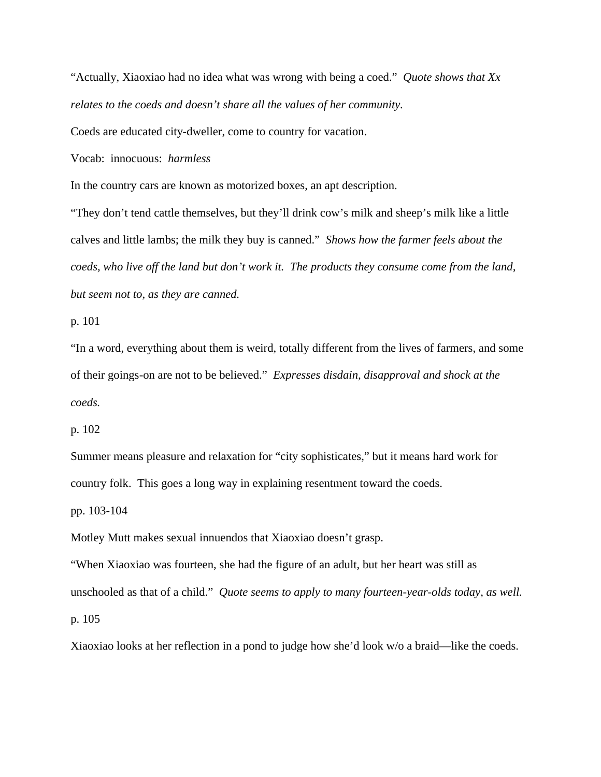"Actually, Xiaoxiao had no idea what was wrong with being a coed." *Quote shows that Xx relates to the coeds and doesn't share all the values of her community.*

Coeds are educated city-dweller, come to country for vacation.

Vocab: innocuous: *harmless*

In the country cars are known as motorized boxes, an apt description.

"They don't tend cattle themselves, but they'll drink cow's milk and sheep's milk like a little calves and little lambs; the milk they buy is canned." *Shows how the farmer feels about the coeds, who live off the land but don't work it. The products they consume come from the land, but seem not to, as they are canned.*

p. 101

"In a word, everything about them is weird, totally different from the lives of farmers, and some of their goings-on are not to be believed." *Expresses disdain, disapproval and shock at the coeds.*

p. 102

Summer means pleasure and relaxation for "city sophisticates," but it means hard work for country folk. This goes a long way in explaining resentment toward the coeds.

pp. 103-104

Motley Mutt makes sexual innuendos that Xiaoxiao doesn't grasp.

"When Xiaoxiao was fourteen, she had the figure of an adult, but her heart was still as unschooled as that of a child." *Quote seems to apply to many fourteen-year-olds today, as well.* p. 105

Xiaoxiao looks at her reflection in a pond to judge how she'd look w/o a braid—like the coeds.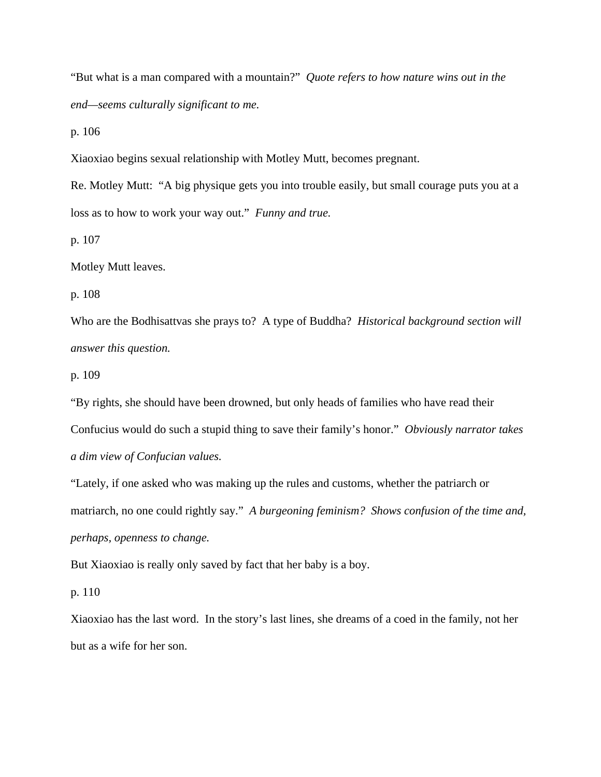"But what is a man compared with a mountain?" *Quote refers to how nature wins out in the end—seems culturally significant to me.*

p. 106

Xiaoxiao begins sexual relationship with Motley Mutt, becomes pregnant.

Re. Motley Mutt: "A big physique gets you into trouble easily, but small courage puts you at a loss as to how to work your way out." *Funny and true.*

p. 107

Motley Mutt leaves.

p. 108

Who are the Bodhisattvas she prays to? A type of Buddha? *Historical background section will answer this question.*

p. 109

"By rights, she should have been drowned, but only heads of families who have read their

Confucius would do such a stupid thing to save their family's honor." *Obviously narrator takes* 

*a dim view of Confucian values.*

"Lately, if one asked who was making up the rules and customs, whether the patriarch or matriarch, no one could rightly say." *A burgeoning feminism? Shows confusion of the time and, perhaps, openness to change.*

But Xiaoxiao is really only saved by fact that her baby is a boy.

p. 110

Xiaoxiao has the last word. In the story's last lines, she dreams of a coed in the family, not her but as a wife for her son.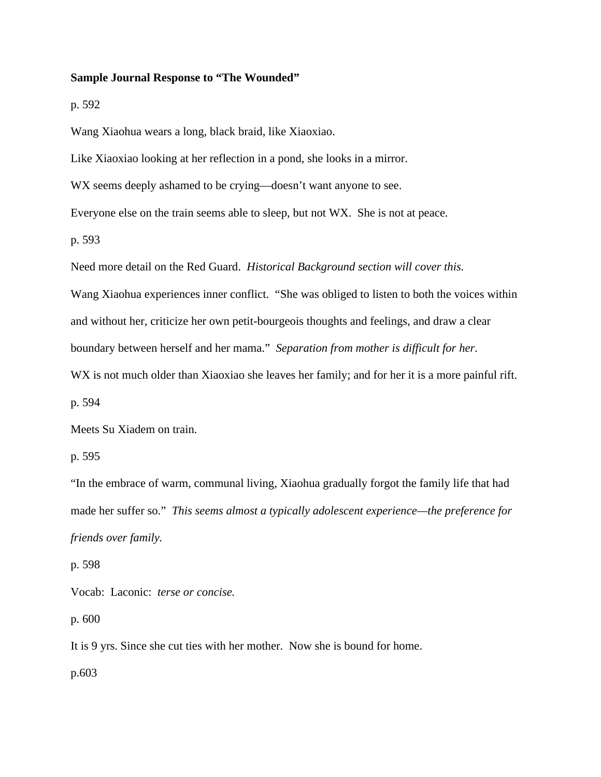#### **Sample Journal Response to "The Wounded"**

p. 592

Wang Xiaohua wears a long, black braid, like Xiaoxiao.

Like Xiaoxiao looking at her reflection in a pond, she looks in a mirror.

WX seems deeply ashamed to be crying—doesn't want anyone to see.

Everyone else on the train seems able to sleep, but not WX. She is not at peace.

p. 593

Need more detail on the Red Guard. *Historical Background section will cover this.*

Wang Xiaohua experiences inner conflict. "She was obliged to listen to both the voices within and without her, criticize her own petit-bourgeois thoughts and feelings, and draw a clear boundary between herself and her mama." *Separation from mother is difficult for her.*

WX is not much older than Xiaoxiao she leaves her family; and for her it is a more painful rift.

p. 594

Meets Su Xiadem on train.

p. 595

"In the embrace of warm, communal living, Xiaohua gradually forgot the family life that had made her suffer so." *This seems almost a typically adolescent experience—the preference for friends over family.*

p. 598

Vocab: Laconic: *terse or concise.*

p. 600

It is 9 yrs. Since she cut ties with her mother. Now she is bound for home.

p.603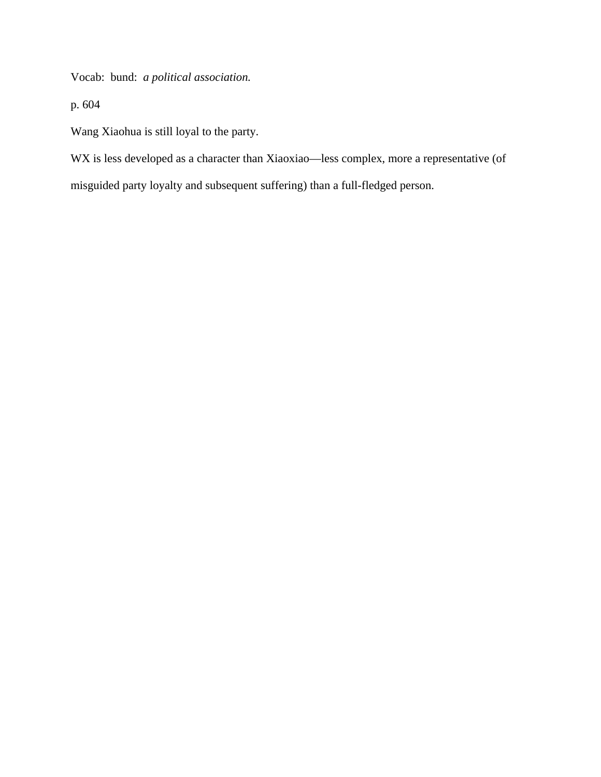Vocab: bund: *a political association.*

p. 604

Wang Xiaohua is still loyal to the party.

WX is less developed as a character than Xiaoxiao—less complex, more a representative (of

misguided party loyalty and subsequent suffering) than a full-fledged person.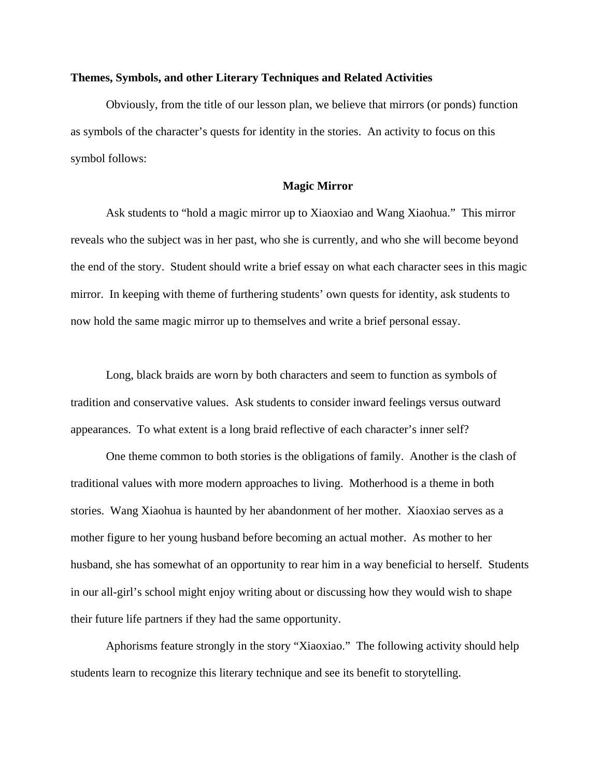## **Themes, Symbols, and other Literary Techniques and Related Activities**

Obviously, from the title of our lesson plan, we believe that mirrors (or ponds) function as symbols of the character's quests for identity in the stories. An activity to focus on this symbol follows:

#### **Magic Mirror**

Ask students to "hold a magic mirror up to Xiaoxiao and Wang Xiaohua." This mirror reveals who the subject was in her past, who she is currently, and who she will become beyond the end of the story. Student should write a brief essay on what each character sees in this magic mirror. In keeping with theme of furthering students' own quests for identity, ask students to now hold the same magic mirror up to themselves and write a brief personal essay.

Long, black braids are worn by both characters and seem to function as symbols of tradition and conservative values. Ask students to consider inward feelings versus outward appearances. To what extent is a long braid reflective of each character's inner self?

One theme common to both stories is the obligations of family. Another is the clash of traditional values with more modern approaches to living. Motherhood is a theme in both stories. Wang Xiaohua is haunted by her abandonment of her mother. Xiaoxiao serves as a mother figure to her young husband before becoming an actual mother. As mother to her husband, she has somewhat of an opportunity to rear him in a way beneficial to herself. Students in our all-girl's school might enjoy writing about or discussing how they would wish to shape their future life partners if they had the same opportunity.

Aphorisms feature strongly in the story "Xiaoxiao." The following activity should help students learn to recognize this literary technique and see its benefit to storytelling.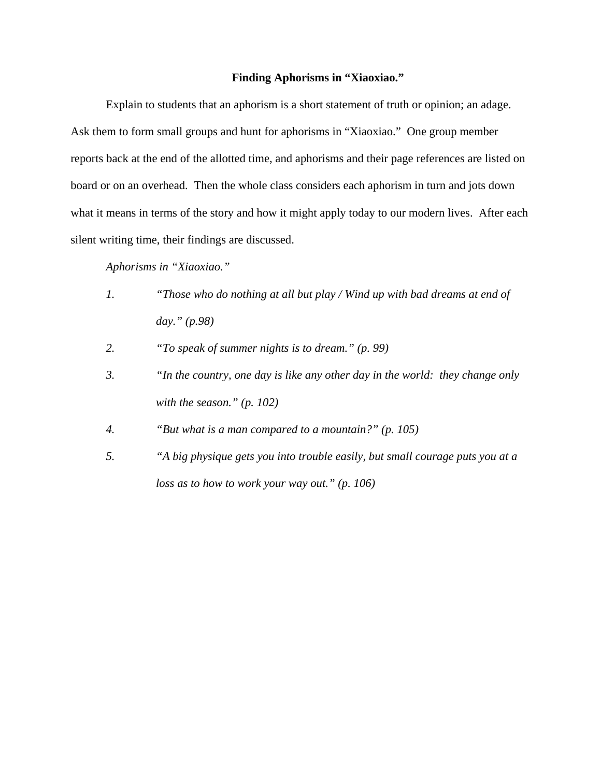# **Finding Aphorisms in "Xiaoxiao."**

Explain to students that an aphorism is a short statement of truth or opinion; an adage. Ask them to form small groups and hunt for aphorisms in "Xiaoxiao." One group member reports back at the end of the allotted time, and aphorisms and their page references are listed on board or on an overhead. Then the whole class considers each aphorism in turn and jots down what it means in terms of the story and how it might apply today to our modern lives. After each silent writing time, their findings are discussed.

*Aphorisms in "Xiaoxiao."*

- *1. "Those who do nothing at all but play / Wind up with bad dreams at end of day." (p.98)*
- *2. "To speak of summer nights is to dream." (p. 99)*
- *3. "In the country, one day is like any other day in the world: they change only with the season." (p. 102)*
- *4. "But what is a man compared to a mountain?" (p. 105)*
- *5. "A big physique gets you into trouble easily, but small courage puts you at a loss as to how to work your way out." (p. 106)*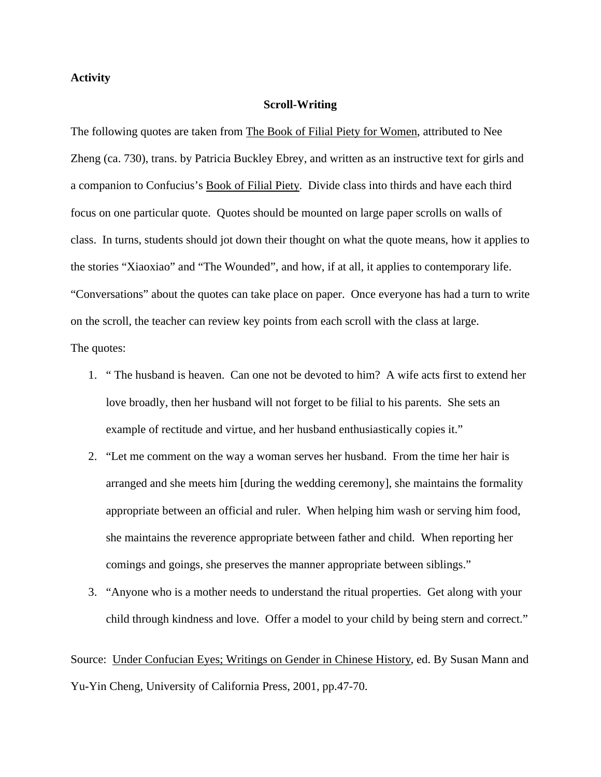# **Activity**

#### **Scroll-Writing**

The following quotes are taken from The Book of Filial Piety for Women, attributed to Nee Zheng (ca. 730), trans. by Patricia Buckley Ebrey, and written as an instructive text for girls and a companion to Confucius's Book of Filial Piety. Divide class into thirds and have each third focus on one particular quote. Quotes should be mounted on large paper scrolls on walls of class. In turns, students should jot down their thought on what the quote means, how it applies to the stories "Xiaoxiao" and "The Wounded", and how, if at all, it applies to contemporary life. "Conversations" about the quotes can take place on paper. Once everyone has had a turn to write on the scroll, the teacher can review key points from each scroll with the class at large. The quotes:

- 1. " The husband is heaven. Can one not be devoted to him? A wife acts first to extend her love broadly, then her husband will not forget to be filial to his parents. She sets an example of rectitude and virtue, and her husband enthusiastically copies it."
- 2. "Let me comment on the way a woman serves her husband. From the time her hair is arranged and she meets him [during the wedding ceremony], she maintains the formality appropriate between an official and ruler. When helping him wash or serving him food, she maintains the reverence appropriate between father and child. When reporting her comings and goings, she preserves the manner appropriate between siblings."
- 3. "Anyone who is a mother needs to understand the ritual properties. Get along with your child through kindness and love. Offer a model to your child by being stern and correct."

Source: Under Confucian Eyes; Writings on Gender in Chinese History, ed. By Susan Mann and Yu-Yin Cheng, University of California Press, 2001, pp.47-70.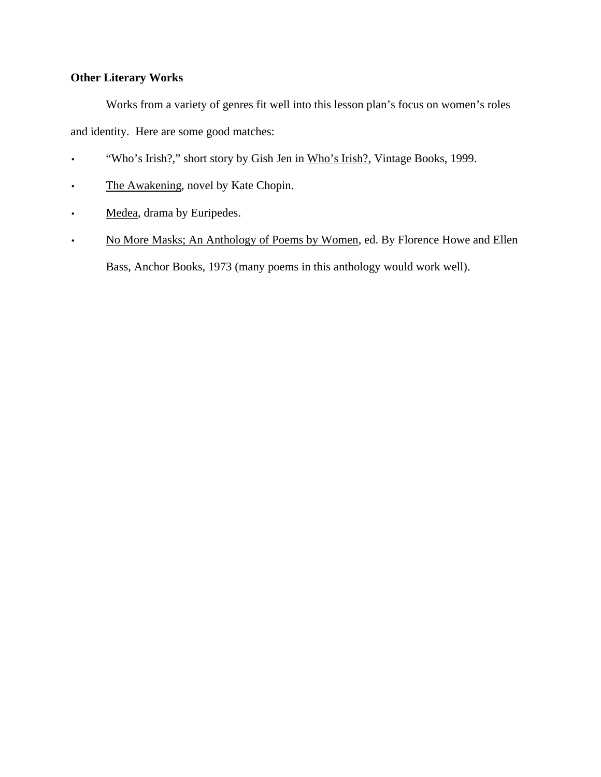# **Other Literary Works**

Works from a variety of genres fit well into this lesson plan's focus on women's roles and identity. Here are some good matches:

- "Who's Irish?," short story by Gish Jen in Who's Irish?, Vintage Books, 1999.
- The Awakening, novel by Kate Chopin.
- Medea, drama by Euripedes.
- No More Masks; An Anthology of Poems by Women, ed. By Florence Howe and Ellen Bass, Anchor Books, 1973 (many poems in this anthology would work well).